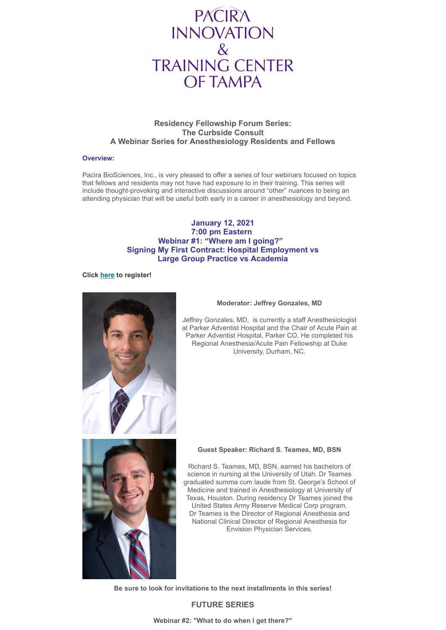

# **Residency Fellowship Forum Series: The Curbside Consult A Webinar Series for Anesthesiology Residents and Fellows**

## **Overview:**

Pacira BioSciences, Inc., is very pleased to offer a series of four webinars focused on topics that fellows and residents may not have had exposure to in their training. This series will include thought-provoking and interactive discussions around "other" nuances to being an attending physician that will be useful both early in a career in anesthesiology and beyond.

# **January 12, 2021 7:00 pm Eastern Webinar #1: "Where am I going?" Signing My First Contract: Hospital Employment vs Large Group Practice vs Academia**

## **Click [here](https://pacira.zoom.us/webinar/register/WN_aAi_uR--SkSeVttEXM2dJQ) to register!**



## **Moderator: Jeffrey Gonzales, MD**

Jeffrey Gonzales, MD, is currently a staff Anesthesiologist at Parker Adventist Hospital and the Chair of Acute Pain at Parker Adventist Hospital, Parker CO. He completed his Regional Anesthesia/Acute Pain Fellowship at Duke University, Durham, NC.



### **Guest Speaker: Richard S. Teames, MD, BSN**

Richard S. Teames, MD, BSN, earned his bachelors of science in nursing at the University of Utah. Dr Teames graduated summa cum laude from St. George's School of Medicine and trained in Anesthesiology at University of Texas, Houston. During residency Dr Teames joined the United States Army Reserve Medical Corp program. Dr Teames is the Director of Regional Anesthesia and National Clinical Director of Regional Anesthesia for Envision Physician Services.

**Be sure to look for invitations to the next installments in this series!**

# **FUTURE SERIES**

**Webinar #2: "What to do when I get there?"**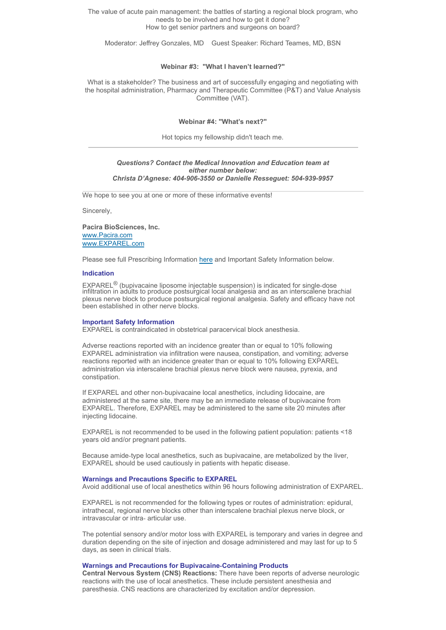The value of acute pain management: the battles of starting a regional block program, who needs to be involved and how to get it done? How to get senior partners and surgeons on board?

Moderator: Jeffrey Gonzales, MD Guest Speaker: Richard Teames, MD, BSN

#### **Webinar #3: "What I haven't learned?"**

What is a stakeholder? The business and art of successfully engaging and negotiating with the hospital administration, Pharmacy and Therapeutic Committee (P&T) and Value Analysis Committee (VAT).

### **Webinar #4: "What's next?"**

Hot topics my fellowship didn't teach me.

### *Questions? Contact the Medical Innovation and Education team at either number below: Christa D'Agnese: 404-906-3550 or Danielle Resseguet: 504-939-9957*

We hope to see you at one or more of these informative events!

Sincerely,

**Pacira BioSciences, Inc.** [www.Pacira.com](http://www.pacira.com/) [www.EXPAREL.com](https://www.exparel.com/)

Please see full Prescribing Information [here](https://www.exparel.com/hcp/EXPAREL_Package_Insert_CBE-30_Sept_2020.pdf) and Important Safety Information below.

## **Indication**

EXPAREL<sup>®</sup> (bupivacaine liposome injectable suspension) is indicated for single-dose infiltration in adults to produce postsurgical local analgesia and as an interscalene brachial plexus nerve block to produce postsurgical regional analgesia. Safety and efficacy have not been established in other nerve blocks.

### **Important Safety Information**

EXPAREL is contraindicated in obstetrical paracervical block anesthesia.

Adverse reactions reported with an incidence greater than or equal to 10% following EXPAREL administration via infiltration were nausea, constipation, and vomiting; adverse reactions reported with an incidence greater than or equal to 10% following EXPAREL administration via interscalene brachial plexus nerve block were nausea, pyrexia, and constipation.

If EXPAREL and other non‐bupivacaine local anesthetics, including lidocaine, are administered at the same site, there may be an immediate release of bupivacaine from EXPAREL. Therefore, EXPAREL may be administered to the same site 20 minutes after injecting lidocaine.

EXPAREL is not recommended to be used in the following patient population: patients <18 years old and/or pregnant patients.

Because amide‐type local anesthetics, such as bupivacaine, are metabolized by the liver, EXPAREL should be used cautiously in patients with hepatic disease.

### **Warnings and Precautions Specific to EXPAREL**

Avoid additional use of local anesthetics within 96 hours following administration of EXPAREL.

EXPAREL is not recommended for the following types or routes of administration: epidural, intrathecal, regional nerve blocks other than interscalene brachial plexus nerve block, or intravascular or intra‐ articular use.

The potential sensory and/or motor loss with EXPAREL is temporary and varies in degree and duration depending on the site of injection and dosage administered and may last for up to 5 days, as seen in clinical trials.

## **Warnings and Precautions for Bupivacaine‐Containing Products**

**Central Nervous System (CNS) Reactions:** There have been reports of adverse neurologic reactions with the use of local anesthetics. These include persistent anesthesia and paresthesia. CNS reactions are characterized by excitation and/or depression.